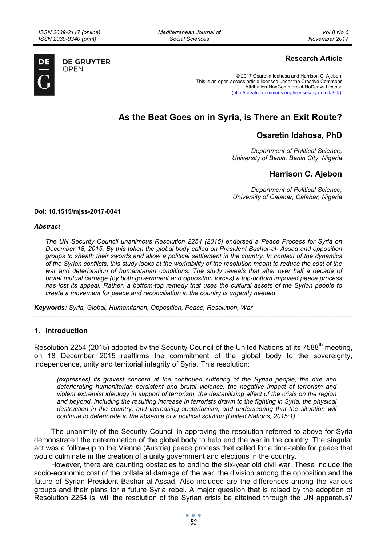*Mediterranean Journal of Social Sciences* 



**DE GRUYTER OPEN** 

## **Research Article**

© 2017 Osaretin Idahosa and Harrison C. Ajebon. This is an open access article licensed under the Creative Commons Attribution-NonCommercial-NoDerivs License (http://creativecommons.org/licenses/by-nc-nd/3.0/).

# **As the Beat Goes on in Syria, is There an Exit Route?**

## **Osaretin Idahosa, PhD**

*Department of Political Science, University of Benin, Benin City, Nigeria* 

## **Harrison C. Ajebon**

*Department of Political Science, University of Calabar, Calabar, Nigeria* 

#### **Doi: 10.1515/mjss-2017-0041**

#### *Abstract*

*The UN Security Council unanimous Resolution 2254 (2015) endorsed a Peace Process for Syria on December 18, 2015. By this token the global body called on President Bashar-al- Assad and opposition groups to sheath their swords and allow a political settlement in the country. In context of the dynamics of the Syrian conflicts, this study looks at the workability of the resolution meant to reduce the cost of the war and deterioration of humanitarian conditions. The study reveals that after over half a decade of brutal mutual carnage (by both government and opposition forces) a top-bottom imposed peace process has lost its appeal. Rather, a bottom-top remedy that uses the cultural assets of the Syrian people to create a movement for peace and reconciliation in the country is urgently needed.* 

*Keywords: Syria, Global, Humanitarian, Opposition, Peace, Resolution, War* 

### **1. Introduction**

Resolution 2254 (2015) adopted by the Security Council of the United Nations at its  $7588^{th}$  meeting. on 18 December 2015 reaffirms the commitment of the global body to the sovereignty, independence, unity and territorial integrity of Syria. This resolution:

*(expresses) its gravest concern at the continued suffering of the Syrian people, the dire and deteriorating humanitarian persistent and brutal violence, the negative impact of terrorism and violent extremist ideology in support of terrorism, the destabilizing effect of the crisis on the region and beyond, including the resulting increase in terrorists drawn to the fighting in Syria, the physical destruction in the country, and increasing sectarianism, and underscoring that the situation will continue to deteriorate in the absence of a political solution (United Nations, 2015:1).* 

The unanimity of the Security Council in approving the resolution referred to above for Syria demonstrated the determination of the global body to help end the war in the country. The singular act was a follow-up to the Vienna (Austria) peace process that called for a time-table for peace that would culminate in the creation of a unity government and elections in the country.

However, there are daunting obstacles to ending the six-year old civil war. These include the socio-economic cost of the collateral damage of the war, the division among the opposition and the future of Syrian President Bashar al-Assad. Also included are the differences among the various groups and their plans for a future Syria rebel. A major question that is raised by the adoption of Resolution 2254 is: will the resolution of the Syrian crisis be attained through the UN apparatus?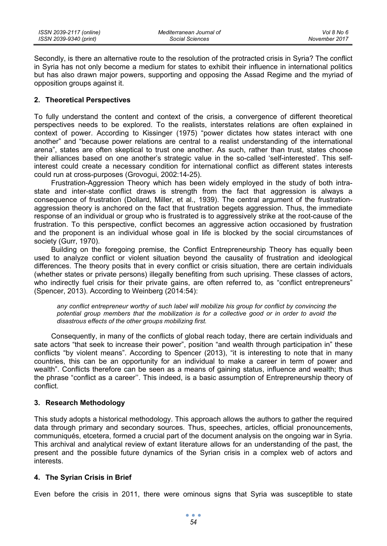Secondly, is there an alternative route to the resolution of the protracted crisis in Syria? The conflict in Syria has not only become a medium for states to exhibit their influence in international politics but has also drawn major powers, supporting and opposing the Assad Regime and the myriad of opposition groups against it.

### **2. Theoretical Perspectives**

To fully understand the content and context of the crisis, a convergence of different theoretical perspectives needs to be explored. To the realists, interstates relations are often explained in context of power. According to Kissinger (1975) "power dictates how states interact with one another" and "because power relations are central to a realist understanding of the international arena", states are often skeptical to trust one another. As such, rather than trust, states choose their alliances based on one another's strategic value in the so-called 'self-interested'. This selfinterest could create a necessary condition for international conflict as different states interests could run at cross-purposes (Grovogui, 2002:14-25).

Frustration-Aggression Theory which has been widely employed in the study of both intrastate and inter-state conflict draws is strength from the fact that aggression is always a consequence of frustration (Dollard, Miller, et al., 1939). The central argument of the frustrationaggression theory is anchored on the fact that frustration begets aggression. Thus, the immediate response of an individual or group who is frustrated is to aggressively strike at the root-cause of the frustration. To this perspective, conflict becomes an aggressive action occasioned by frustration and the proponent is an individual whose goal in life is blocked by the social circumstances of society (Gurr, 1970).

Building on the foregoing premise, the Conflict Entrepreneurship Theory has equally been used to analyze conflict or violent situation beyond the causality of frustration and ideological differences. The theory posits that in every conflict or crisis situation, there are certain individuals (whether states or private persons) illegally benefiting from such uprising. These classes of actors, who indirectly fuel crisis for their private gains, are often referred to, as "conflict entrepreneurs" (Spencer, 2013). According to Weinberg (2014:54):

*any conflict entrepreneur worthy of such label will mobilize his group for conflict by convincing the potential group members that the mobilization is for a collective good or in order to avoid the disastrous effects of the other groups mobilizing first.* 

Consequently, in many of the conflicts of global reach today, there are certain individuals and sate actors "that seek to increase their power", position "and wealth through participation in" these conflicts "by violent means". According to Spencer (2013), "it is interesting to note that in many countries, this can be an opportunity for an individual to make a career in term of power and wealth". Conflicts therefore can be seen as a means of gaining status, influence and wealth; thus the phrase "conflict as a career''. This indeed, is a basic assumption of Entrepreneurship theory of conflict.

## **3. Research Methodology**

This study adopts a historical methodology. This approach allows the authors to gather the required data through primary and secondary sources. Thus, speeches, articles, official pronouncements, communiqués, etcetera, formed a crucial part of the document analysis on the ongoing war in Syria. This archival and analytical review of extant literature allows for an understanding of the past, the present and the possible future dynamics of the Syrian crisis in a complex web of actors and interests.

### **4. The Syrian Crisis in Brief**

Even before the crisis in 2011, there were ominous signs that Syria was susceptible to state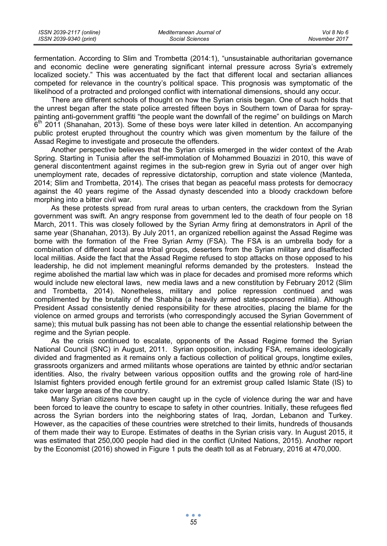| ISSN 2039-2117 (online) | Mediterranean Journal of | Vol 8 No 6    |
|-------------------------|--------------------------|---------------|
| ISSN 2039-9340 (print)  | Social Sciences          | November 2017 |

fermentation. According to Slim and Trombetta (2014:1), "unsustainable authoritarian governance and economic decline were generating significant internal pressure across Syria's extremely localized society." This was accentuated by the fact that different local and sectarian alliances competed for relevance in the country's political space. This prognosis was symptomatic of the likelihood of a protracted and prolonged conflict with international dimensions, should any occur.

There are different schools of thought on how the Syrian crisis began. One of such holds that the unrest began after the state police arrested fifteen boys in Southern town of Daraa for spraypainting anti-government graffiti "the people want the downfall of the regime" on buildings on March  $6<sup>th</sup>$  2011 (Shanahan, 2013). Some of these boys were later killed in detention. An accompanying public protest erupted throughout the country which was given momentum by the failure of the Assad Regime to investigate and prosecute the offenders.

Another perspective believes that the Syrian crisis emerged in the wider context of the Arab Spring. Starting in Tunisia after the self-immolation of Mohammed Bouazizi in 2010, this wave of general discontentment against regimes in the sub-region grew in Syria out of anger over high unemployment rate, decades of repressive dictatorship, corruption and state violence (Manteda, 2014; Slim and Trombetta, 2014). The crises that began as peaceful mass protests for democracy against the 40 years regime of the Assad dynasty descended into a bloody crackdown before morphing into a bitter civil war.

As these protests spread from rural areas to urban centers, the crackdown from the Syrian government was swift. An angry response from government led to the death of four people on 18 March, 2011. This was closely followed by the Syrian Army firing at demonstrators in April of the same year (Shanahan, 2013). By July 2011, an organized rebellion against the Assad Regime was borne with the formation of the Free Syrian Army (FSA). The FSA is an umbrella body for a combination of different local area tribal groups, deserters from the Syrian military and disaffected local militias. Aside the fact that the Assad Regime refused to stop attacks on those opposed to his leadership, he did not implement meaningful reforms demanded by the protesters. Instead the regime abolished the martial law which was in place for decades and promised more reforms which would include new electoral laws, new media laws and a new constitution by February 2012 (Slim and Trombetta, 2014). Nonetheless, military and police repression continued and was complimented by the brutality of the Shabiha (a heavily armed state-sponsored militia). Although President Assad consistently denied responsibility for these atrocities, placing the blame for the violence on armed groups and terrorists (who correspondingly accused the Syrian Government of same); this mutual bulk passing has not been able to change the essential relationship between the regime and the Syrian people.

As the crisis continued to escalate, opponents of the Assad Regime formed the Syrian National Council (SNC) in August, 2011. Syrian opposition, including FSA, remains ideologically divided and fragmented as it remains only a factious collection of political groups, longtime exiles, grassroots organizers and armed militants whose operations are tainted by ethnic and/or sectarian identities. Also, the rivalry between various opposition outfits and the growing role of hard-line Islamist fighters provided enough fertile ground for an extremist group called Islamic State (IS) to take over large areas of the country.

Many Syrian citizens have been caught up in the cycle of violence during the war and have been forced to leave the country to escape to safety in other countries. Initially, these refugees fled across the Syrian borders into the neighboring states of Iraq, Jordan, Lebanon and Turkey. However, as the capacities of these countries were stretched to their limits, hundreds of thousands of them made their way to Europe. Estimates of deaths in the Syrian crisis vary. In August 2015, it was estimated that 250,000 people had died in the conflict (United Nations, 2015). Another report by the Economist (2016) showed in Figure 1 puts the death toll as at February, 2016 at 470,000.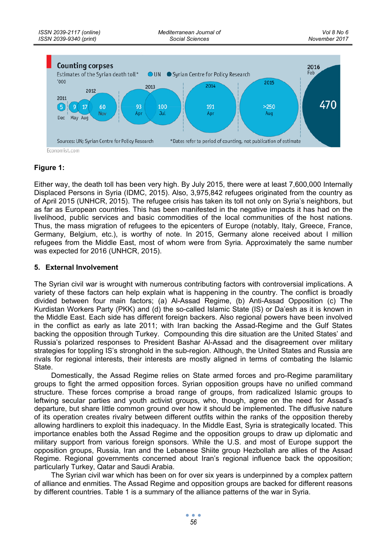

## **Figure 1:**

Either way, the death toll has been very high. By July 2015, there were at least 7,600,000 Internally Displaced Persons in Syria (IDMC, 2015). Also, 3,975,842 refugees originated from the country as of April 2015 (UNHCR, 2015). The refugee crisis has taken its toll not only on Syria's neighbors, but as far as European countries. This has been manifested in the negative impacts it has had on the livelihood, public services and basic commodities of the local communities of the host nations. Thus, the mass migration of refugees to the epicenters of Europe (notably, Italy, Greece, France, Germany, Belgium, etc.), is worthy of note. In 2015, Germany alone received about I million refugees from the Middle East, most of whom were from Syria. Approximately the same number was expected for 2016 (UNHCR, 2015).

### **5. External Involvement**

The Syrian civil war is wrought with numerous contributing factors with controversial implications. A variety of these factors can help explain what is happening in the country. The conflict is broadly divided between four main factors; (a) Al-Assad Regime, (b) Anti-Assad Opposition (c) The Kurdistan Workers Party (PKK) and (d) the so-called Islamic State (IS) or Da'esh as it is known in the Middle East. Each side has different foreign backers. Also regional powers have been involved in the conflict as early as late 2011; with Iran backing the Assad-Regime and the Gulf States backing the opposition through Turkey. Compounding this dire situation are the United States' and Russia's polarized responses to President Bashar Al-Assad and the disagreement over military strategies for toppling IS's stronghold in the sub-region. Although, the United States and Russia are rivals for regional interests, their interests are mostly aligned in terms of combating the Islamic State.

Domestically, the Assad Regime relies on State armed forces and pro-Regime paramilitary groups to fight the armed opposition forces. Syrian opposition groups have no unified command structure. These forces comprise a broad range of groups, from radicalized Islamic groups to leftwing secular parties and youth activist groups, who, though, agree on the need for Assad's departure, but share little common ground over how it should be implemented. The diffusive nature of its operation creates rivalry between different outfits within the ranks of the opposition thereby allowing hardliners to exploit this inadequacy. In the Middle East, Syria is strategically located. This importance enables both the Assad Regime and the opposition groups to draw up diplomatic and military support from various foreign sponsors. While the U.S. and most of Europe support the opposition groups, Russia, Iran and the Lebanese Shiite group Hezbollah are allies of the Assad Regime. Regional governments concerned about Iran's regional influence back the opposition; particularly Turkey, Qatar and Saudi Arabia.

The Syrian civil war which has been on for over six years is underpinned by a complex pattern of alliance and enmities. The Assad Regime and opposition groups are backed for different reasons by different countries. Table 1 is a summary of the alliance patterns of the war in Syria.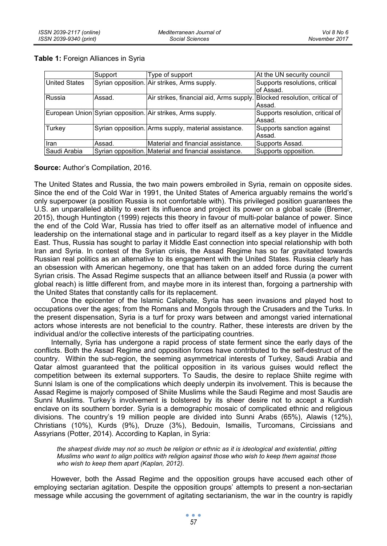|                      | Support | Type of support                                                          | At the UN security council       |
|----------------------|---------|--------------------------------------------------------------------------|----------------------------------|
| <b>United States</b> |         | Syrian opposition. Air strikes, Arms supply.                             | Supports resolutions, critical   |
|                      |         |                                                                          | of Assad.                        |
| Russia               | Assad.  | Air strikes, financial aid, Arms supply. Blocked resolution, critical of |                                  |
|                      |         |                                                                          | Assad.                           |
|                      |         | European Union Syrian opposition. Air strikes, Arms supply.              | Supports resolution, critical of |
|                      |         |                                                                          | Assad.                           |
| Turkey               |         | Syrian opposition. Arms supply, material assistance.                     | Supports sanction against        |
|                      |         |                                                                          | Assad.                           |
| Iran                 | Assad.  | Material and financial assistance.                                       | Supports Assad.                  |
| Saudi Arabia         |         | Syrian opposition. Material and financial assistance.                    | Supports opposition.             |

#### **Table 1:** Foreign Alliances in Syria

**Source:** Author's Compilation, 2016.

The United States and Russia, the two main powers embroiled in Syria, remain on opposite sides. Since the end of the Cold War in 1991, the United States of America arguably remains the world's only superpower (a position Russia is not comfortable with). This privileged position guarantees the U.S. an unparalleled ability to exert its influence and project its power on a global scale (Bremer, 2015), though Huntington (1999) rejects this theory in favour of multi-polar balance of power. Since the end of the Cold War, Russia has tried to offer itself as an alternative model of influence and leadership on the international stage and in particular to regard itself as a key player in the Middle East. Thus, Russia has sought to parlay it Middle East connection into special relationship with both Iran and Syria. In contest of the Syrian crisis, the Assad Regime has so far gravitated towards Russian real politics as an alternative to its engagement with the United States. Russia clearly has an obsession with American hegemony, one that has taken on an added force during the current Syrian crisis. The Assad Regime suspects that an alliance between itself and Russia (a power with global reach) is little different from, and maybe more in its interest than, forgoing a partnership with the United States that constantly calls for its replacement.

Once the epicenter of the Islamic Caliphate, Syria has seen invasions and played host to occupations over the ages; from the Romans and Mongols through the Crusaders and the Turks. In the present dispensation, Syria is a turf for proxy wars between and amongst varied international actors whose interests are not beneficial to the country. Rather, these interests are driven by the individual and/or the collective interests of the participating countries.

Internally, Syria has undergone a rapid process of state ferment since the early days of the conflicts. Both the Assad Regime and opposition forces have contributed to the self-destruct of the country. Within the sub-region, the seeming asymmetrical interests of Turkey, Saudi Arabia and Qatar almost guaranteed that the political opposition in its various guises would reflect the competition between its external supporters. To Saudis, the desire to replace Shiite regime with Sunni Islam is one of the complications which deeply underpin its involvement. This is because the Assad Regime is majorly composed of Shiite Muslims while the Saudi Regime and most Saudis are Sunni Muslims. Turkey's involvement is bolstered by its sheer desire not to accept a Kurdish enclave on its southern border. Syria is a demographic mosaic of complicated ethnic and religious divisions. The country's 19 million people are divided into Sunni Arabs (65%), Alawis (12%), Christians (10%), Kurds (9%), Druze (3%), Bedouin, Ismailis, Turcomans, Circissians and Assyrians (Potter, 2014). According to Kaplan, in Syria:

*the sharpest divide may not so much be religion or ethnic as it is ideological and existential, pitting Muslims who want to align politics with religion against those who wish to keep them against those who wish to keep them apart (Kaplan, 2012).* 

However, both the Assad Regime and the opposition groups have accused each other of employing sectarian agitation. Despite the opposition groups' attempts to present a non-sectarian message while accusing the government of agitating sectarianism, the war in the country is rapidly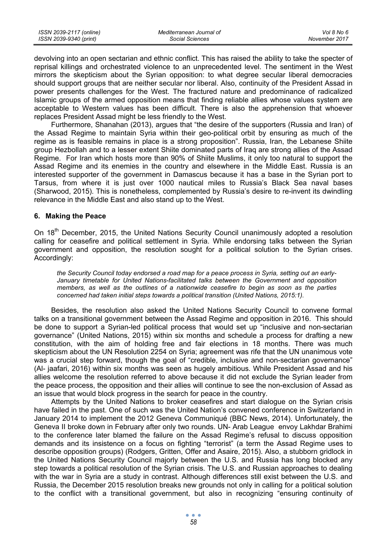| ISSN 2039-2117 (online) | Mediterranean Journal of | Vol 8 No 6    |
|-------------------------|--------------------------|---------------|
| ISSN 2039-9340 (print)  | Social Sciences          | November 2017 |

devolving into an open sectarian and ethnic conflict. This has raised the ability to take the specter of reprisal killings and orchestrated violence to an unprecedented level. The sentiment in the West mirrors the skepticism about the Syrian opposition: to what degree secular liberal democracies should support groups that are neither secular nor liberal. Also, continuity of the President Assad in power presents challenges for the West. The fractured nature and predominance of radicalized Islamic groups of the armed opposition means that finding reliable allies whose values system are acceptable to Western values has been difficult. There is also the apprehension that whoever replaces President Assad might be less friendly to the West.

Furthermore, Shanahan (2013), argues that "the desire of the supporters (Russia and Iran) of the Assad Regime to maintain Syria within their geo-political orbit by ensuring as much of the regime as is feasible remains in place is a strong proposition". Russia, Iran, the Lebanese Shiite group Hezbollah and to a lesser extent Shiite dominated parts of Iraq are strong allies of the Assad Regime. For Iran which hosts more than 90% of Shiite Muslims, it only too natural to support the Assad Regime and its enemies in the country and elsewhere in the Middle East. Russia is an interested supporter of the government in Damascus because it has a base in the Syrian port to Tarsus, from where it is just over 1000 nautical miles to Russia's Black Sea naval bases (Sharwood, 2015). This is nonetheless, complemented by Russia's desire to re-invent its dwindling relevance in the Middle East and also stand up to the West.

#### **6. Making the Peace**

On 18<sup>th</sup> December, 2015, the United Nations Security Council unanimously adopted a resolution calling for ceasefire and political settlement in Syria. While endorsing talks between the Syrian government and opposition, the resolution sought for a political solution to the Syrian crises. Accordingly:

*the Security Council today endorsed a road map for a peace process in Syria, setting out an early-January timetable for United Nations-facilitated talks between the Government and opposition members, as well as the outlines of a nationwide ceasefire to begin as soon as the parties concerned had taken initial steps towards a political transition (United Nations, 2015:1).* 

Besides, the resolution also asked the United Nations Security Council to convene formal talks on a transitional government between the Assad Regime and opposition in 2016. This should be done to support a Syrian-led political process that would set up "inclusive and non-sectarian governance" (United Nations, 2015) within six months and schedule a process for drafting a new constitution, with the aim of holding free and fair elections in 18 months. There was much skepticism about the UN Resolution 2254 on Syria; agreement was rife that the UN unanimous vote was a crucial step forward, though the goal of "credible, inclusive and non-sectarian governance" (Al- jaafari, 2016) within six months was seen as hugely ambitious. While President Assad and his allies welcome the resolution referred to above because it did not exclude the Syrian leader from the peace process, the opposition and their allies will continue to see the non-exclusion of Assad as an issue that would block progress in the search for peace in the country.

Attempts by the United Nations to broker ceasefires and start dialogue on the Syrian crisis have failed in the past. One of such was the United Nation's convened conference in Switzerland in January 2014 to implement the 2012 Geneva Communiqué (BBC News, 2014). Unfortunately, the Geneva II broke down in February after only two rounds. UN- Arab League envoy Lakhdar Brahimi to the conference later blamed the failure on the Assad Regime's refusal to discuss opposition demands and its insistence on a focus on fighting "terrorist" (a term the Assad Regime uses to describe opposition groups) (Rodgers, Gritten, Offer and Asaire, 2015). Also, a stubborn gridlock in the United Nations Security Council majorly between the U.S. and Russia has long blocked any step towards a political resolution of the Syrian crisis. The U.S. and Russian approaches to dealing with the war in Syria are a study in contrast. Although differences still exist between the U.S. and Russia, the December 2015 resolution breaks new grounds not only in calling for a political solution to the conflict with a transitional government, but also in recognizing "ensuring continuity of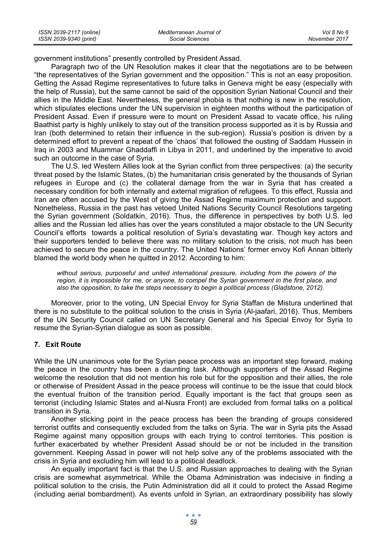| ISSN 2039-2117 (online) | Mediterranean Journal of | Vol 8 No 6    |
|-------------------------|--------------------------|---------------|
| ISSN 2039-9340 (print)  | Social Sciences          | November 2017 |

government institutions" presently controlled by President Assad.

Paragraph two of the UN Resolution makes it clear that the negotiations are to be between "the representatives of the Syrian government and the opposition." This is not an easy proposition. Getting the Assad Regime representatives to future talks in Geneva might be easy (especially with the help of Russia), but the same cannot be said of the opposition Syrian National Council and their allies in the Middle East. Nevertheless, the general phobia is that nothing is new in the resolution, which stipulates elections under the UN supervision in eighteen months without the participation of President Assad. Even if pressure were to mount on President Assad to vacate office, his ruling Baathist party is highly unlikely to stay out of the transition process supported as it is by Russia and Iran (both determined to retain their influence in the sub-region). Russia's position is driven by a determined effort to prevent a repeat of the 'chaos' that followed the ousting of Saddam Hussein in Iraq in 2003 and Muammar Ghaddaffi in Libya in 2011, and underlined by the imperative to avoid such an outcome in the case of Syria.

The U.S. led Western Allies look at the Syrian conflict from three perspectives: (a) the security threat posed by the Islamic States, (b) the humanitarian crisis generated by the thousands of Syrian refugees in Europe and (c) the collateral damage from the war in Syria that has created a necessary condition for both internally and external migration of refugees. To this effect, Russia and Iran are often accused by the West of giving the Assad Regime maximum protection and support. Nonetheless, Russia in the past has vetoed United Nations Security Council Resolutions targeting the Syrian government (Soldatkin, 2016). Thus, the difference in perspectives by both U.S. led allies and the Russian led allies has over the years constituted a major obstacle to the UN Security Council's efforts towards a political resolution of Syria's devastating war. Though key actors and their supporters tended to believe there was no military solution to the crisis, not much has been achieved to secure the peace in the country. The United Nations' former envoy Kofi Annan bitterly blamed the world body when he quitted in 2012. According to him:

*without serious, purposeful and united international pressure, including from the powers of the region, it is impossible for me, or anyone, to compel the Syrian government in the first place, and also the opposition, to take the steps necessary to begin a political process (Gladstone, 2012).* 

Moreover, prior to the voting, UN Special Envoy for Syria Staffan de Mistura underlined that there is no substitute to the political solution to the crisis in Syria (Al-jaafari, 2016). Thus, Members of the UN Security Council called on UN Secretary General and his Special Envoy for Syria to resume the Syrian-Syrian dialogue as soon as possible.

#### **7. Exit Route**

While the UN unanimous vote for the Syrian peace process was an important step forward, making the peace in the country has been a daunting task. Although supporters of the Assad Regime welcome the resolution that did not mention his role but for the opposition and their allies, the role or otherwise of President Assad in the peace process will continue to be the issue that could block the eventual fruition of the transition period. Equally important is the fact that groups seen as terrorist (including Islamic States and al-Nusra Front) are excluded from formal talks on a political transition in Syria.

Another sticking point in the peace process has been the branding of groups considered terrorist outfits and consequently excluded from the talks on Syria. The war in Syria pits the Assad Regime against many opposition groups with each trying to control territories. This position is further exacerbated by whether President Assad should be or not be included in the transition government. Keeping Assad in power will not help solve any of the problems associated with the crisis in Syria and excluding him will lead to a political deadlock.

An equally important fact is that the U.S. and Russian approaches to dealing with the Syrian crisis are somewhat asymmetrical. While the Obama Administration was indecisive in finding a political solution to the crisis, the Putin Administration did all it could to protect the Assad Regime (including aerial bombardment). As events unfold in Syrian, an extraordinary possibility has slowly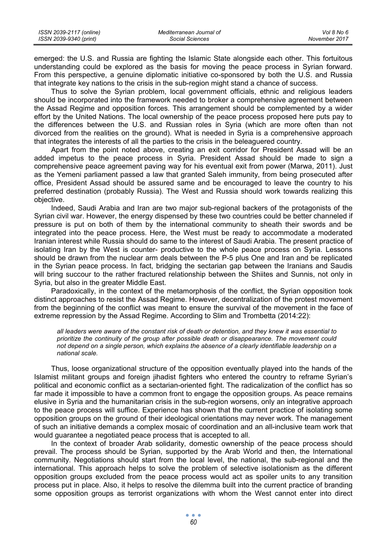| ISSN 2039-2117 (online) | Mediterranean Journal of | Vol 8 No 6    |
|-------------------------|--------------------------|---------------|
| ISSN 2039-9340 (print)  | Social Sciences          | November 2017 |

emerged: the U.S. and Russia are fighting the Islamic State alongside each other. This fortuitous understanding could be explored as the basis for moving the peace process in Syrian forward. From this perspective, a genuine diplomatic initiative co-sponsored by both the U.S. and Russia that integrate key nations to the crisis in the sub-region might stand a chance of success.

Thus to solve the Syrian problem, local government officials, ethnic and religious leaders should be incorporated into the framework needed to broker a comprehensive agreement between the Assad Regime and opposition forces. This arrangement should be complemented by a wider effort by the United Nations. The local ownership of the peace process proposed here puts pay to the differences between the U.S. and Russian roles in Syria (which are more often than not divorced from the realities on the ground). What is needed in Syria is a comprehensive approach that integrates the interests of all the parties to the crisis in the beleaguered country.

Apart from the point noted above, creating an exit corridor for President Assad will be an added impetus to the peace process in Syria. President Assad should be made to sign a comprehensive peace agreement paving way for his eventual exit from power (Marwa, 2011). Just as the Yemeni parliament passed a law that granted Saleh immunity, from being prosecuted after office, President Assad should be assured same and be encouraged to leave the country to his preferred destination (probably Russia). The West and Russia should work towards realizing this objective.

Indeed, Saudi Arabia and Iran are two major sub-regional backers of the protagonists of the Syrian civil war. However, the energy dispensed by these two countries could be better channeled if pressure is put on both of them by the international community to sheath their swords and be integrated into the peace process. Here, the West must be ready to accommodate a moderated Iranian interest while Russia should do same to the interest of Saudi Arabia. The present practice of isolating Iran by the West is counter- productive to the whole peace process on Syria. Lessons should be drawn from the nuclear arm deals between the P-5 plus One and Iran and be replicated in the Syrian peace process. In fact, bridging the sectarian gap between the Iranians and Saudis will bring succour to the rather fractured relationship between the Shiites and Sunnis, not only in Syria, but also in the greater Middle East.

Paradoxically, in the context of the metamorphosis of the conflict, the Syrian opposition took distinct approaches to resist the Assad Regime. However, decentralization of the protest movement from the beginning of the conflict was meant to ensure the survival of the movement in the face of extreme repression by the Assad Regime. According to Slim and Trombetta (2014:22):

*all leaders were aware of the constant risk of death or detention, and they knew it was essential to prioritize the continuity of the group after possible death or disappearance. The movement could not depend on a single person, which explains the absence of a clearly identifiable leadership on a national scale.* 

Thus, loose organizational structure of the opposition eventually played into the hands of the Islamist militant groups and foreign jihadist fighters who entered the country to reframe Syrian's political and economic conflict as a sectarian-oriented fight. The radicalization of the conflict has so far made it impossible to have a common front to engage the opposition groups. As peace remains elusive in Syria and the humanitarian crisis in the sub-region worsens, only an integrative approach to the peace process will suffice. Experience has shown that the current practice of isolating some opposition groups on the ground of their ideological orientations may never work. The management of such an initiative demands a complex mosaic of coordination and an all-inclusive team work that would guarantee a negotiated peace process that is accepted to all.

In the context of broader Arab solidarity, domestic ownership of the peace process should prevail. The process should be Syrian, supported by the Arab World and then, the International community. Negotiations should start from the local level, the national, the sub-regional and the international. This approach helps to solve the problem of selective isolationism as the different opposition groups excluded from the peace process would act as spoiler units to any transition process put in place. Also, it helps to resolve the dilemma built into the current practice of branding some opposition groups as terrorist organizations with whom the West cannot enter into direct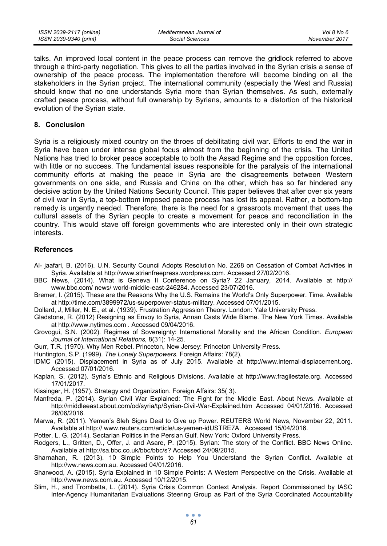talks. An improved local content in the peace process can remove the gridlock referred to above through a third-party negotiation. This gives to all the parties involved in the Syrian crisis a sense of ownership of the peace process. The implementation therefore will become binding on all the stakeholders in the Syrian project. The international community (especially the West and Russia) should know that no one understands Syria more than Syrian themselves. As such, externally crafted peace process, without full ownership by Syrians, amounts to a distortion of the historical evolution of the Syrian state.

#### **8. Conclusion**

Syria is a religiously mixed country on the throes of debilitating civil war. Efforts to end the war in Syria have been under intense global focus almost from the beginning of the crisis. The United Nations has tried to broker peace acceptable to both the Assad Regime and the opposition forces, with little or no success. The fundamental issues responsible for the paralysis of the international community efforts at making the peace in Syria are the disagreements between Western governments on one side, and Russia and China on the other, which has so far hindered any decisive action by the United Nations Security Council. This paper believes that after over six years of civil war in Syria, a top-bottom imposed peace process has lost its appeal. Rather, a bottom-top remedy is urgently needed. Therefore, there is the need for a grassroots movement that uses the cultural assets of the Syrian people to create a movement for peace and reconciliation in the country. This would stave off foreign governments who are interested only in their own strategic interests.

#### **References**

- Al- jaafari, B. (2016). U.N. Security Council Adopts Resolution No. 2268 on Cessation of Combat Activities in Syria. Available at http://www.strianfreepress.wordpress.com. Accessed 27/02/2016.
- BBC News, (2014). What is Geneva II Conference on Syria? 22 January, 2014. Available at http:// www.bbc.com/ news/ world-middle-east-246284. Accessed 23/07/2016.
- Bremer, I. (2015). These are the Reasons Why the U.S. Remains the World's Only Superpower. Time. Available at http://time.com/3899972/us-superpower-status-military. Accessed 07/01/2015.
- Dollard, J, Miller, N. E., et al. (1939). Frustration Aggression Theory. London: Yale University Press.
- Gladstone, R. (2012) Resigning as Envoy to Syria, Annan Casts Wide Blame. The New York Times. Available at http://www.nytimes.com . Accessed 09/04/2016.
- Grovogui, S.N. (2002). Regimes of Sovereignty: International Morality and the African Condition. *European Journal of International Relations,* 8(31): 14-25.
- Gurr, T.R. (1970). Why Men Rebel. Princeton, New Jersey: Princeton University Press.
- Huntington, S.P. (1999). *The Lonely Superpowers.* Foreign Affairs: 78(2).
- IDMC (2015). Displacement in Syria as of July 2015. Available at http://www.internal-displacement.org. Accessed 07/01/2016.
- Kaplan, S. (2012). Syria's Ethnic and Religious Divisions. Available at http://www.fragilestate.org. Accessed 17/01/2017.
- Kissinger, H. (1957). Strategy and Organization. Foreign Affairs: 35( 3).
- Manfreda, P. (2014). Syrian Civil War Explained: The Fight for the Middle East. About News. Available at http://middleeast.about.com/od/syria/tp/Syrian-Civil-War-Explained.htm Accessed 04/01/2016. Accessed 26/06/2016.
- Marwa, R. (2011). Yemen's Sleh Signs Deal to Give up Power. REUTERS World News, November 22, 2011. Available at http:// www.reuters.com/article/us-yemen-idUSTRE7A. Accessed 15/04/2016.
- Potter, L. G. (2014). Sectarian Politics in the Persian Gulf. New York: Oxford University Press.
- Rodgers, L., Gritten, D., Offer, J. and Asare, P. (2015). Syrian: The story of the Conflict. BBC News Online. Available at http://sa.bbc.co.uk/bbc/bbc/s? Accessed 24/09/2015.
- Sharnahan, R. (2013). 10 Simple Points to Help You Understand the Syrian Conflict. Available at http://ww.news.com.au. Accessed 04/01/2016.
- Sharwood, A. (2015). Syria Explained in 10 Simple Points: A Western Perspective on the Crisis. Available at http://www.news.com.au. Accessed 10/12/2015.
- Slim, H., and Trombetta, L. (2014). Syria Crisis Common Context Analysis. Report Commissioned by IASC Inter-Agency Humanitarian Evaluations Steering Group as Part of the Syria Coordinated Accountability